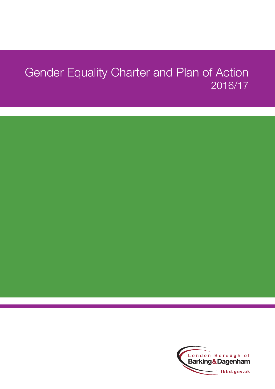# Gender Equality Charter and Plan of Action 2016/17

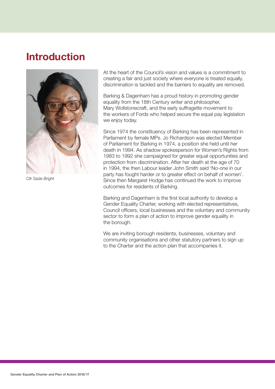### **Introduction**



*Cllr Sade Bright*

At the heart of the Council's vision and values is a commitment to creating a fair and just society where everyone is treated equally, discrimination is tackled and the barriers to equality are removed.

Barking & Dagenham has a proud history in promoting gender equality from the 18th Century writer and philosopher, Mary Wollstonecraft, and the early suffragette movement to the workers of Fords who helped secure the equal pay legislation we enjoy today.

Since 1974 the constituency of Barking has been represented in Parliament by female MPs. Jo Richardson was elected Member of Parliament for Barking in 1974, a position she held until her death in 1994. As shadow spokesperson for Women's Rights from 1983 to 1992 she campaigned for greater equal opportunities and protection from discrimination. After her death at the age of 70 in 1994, the then Labour leader John Smith said 'No-one in our party has fought harder or to greater effect on behalf of women'. Since then Margaret Hodge has continued the work to improve outcomes for residents of Barking.

Barking and Dagenham is the first local authority to develop a Gender Equality Charter, working with elected representatives, Council officers, local businesses and the voluntary and community sector to form a plan of action to improve gender equality in the borough.

We are inviting borough residents, businesses, voluntary and community organisations and other statutory partners to sign up to the Charter and the action plan that accompanies it.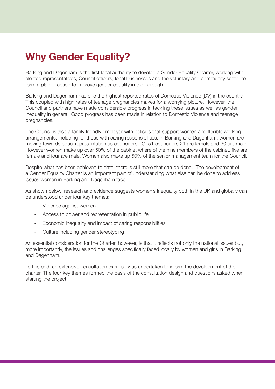### **Why Gender Equality?**

Barking and Dagenham is the first local authority to develop a Gender Equality Charter, working with elected representatives, Council officers, local businesses and the voluntary and community sector to form a plan of action to improve gender equality in the borough.

Barking and Dagenham has one the highest reported rates of Domestic Violence (DV) in the country. This coupled with high rates of teenage pregnancies makes for a worrying picture. However, the Council and partners have made considerable progress in tackling these issues as well as gender inequality in general. Good progress has been made in relation to Domestic Violence and teenage pregnancies.

The Council is also a family friendly employer with policies that support women and flexible working arrangements, including for those with caring responsibilities. In Barking and Dagenham, women are moving towards equal representation as councillors. Of 51 councillors 21 are female and 30 are male. However women make up over 50% of the cabinet where of the nine members of the cabinet, five are female and four are male. Women also make up 50% of the senior management team for the Council.

Despite what has been achieved to date, there is still more that can be done. The development of a Gender Equality Charter is an important part of understanding what else can be done to address issues women in Barking and Dagenham face.

As shown below, research and evidence suggests women's inequality both in the UK and globally can be understood under four key themes:

- Violence against women
- Access to power and representation in public life
- Economic inequality and impact of caring responsibilities
- Culture including gender stereotyping

An essential consideration for the Charter, however, is that it reflects not only the national issues but, more importantly, the issues and challenges specifically faced locally by women and girls in Barking and Dagenham.

To this end, an extensive consultation exercise was undertaken to inform the development of the charter. The four key themes formed the basis of the consultation design and questions asked when starting the project.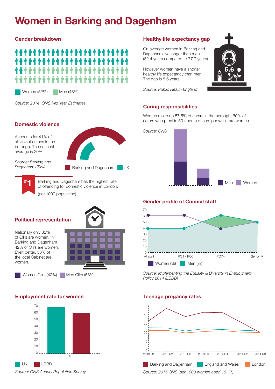## **Women in Barking and Dagenham**

#### **Gender breakdown**



Women (52%) Men (48%)

*Source: 2014 ONS Mid Year Estimates*

#### **Domestic violence**

Accounts for 41% of all violent crimes in the borough. The national average is 20%.

*Source: Barking and Dagenham JSNA*

Barking and Dagenham UK

**# 1**

of offending for domestic violence in London. (per 1000 population)

Barking and Dagenham has the highest rate

#### **Political representation**

Nationally only 32% of Cllrs are women. In Barking and Dagenham 42% of Cllrs are women. Even better, 56% of the local Cabinet are women.



Women Cllrs (42%) Men Cllrs (58%)

#### **Employment rate for women Teenage pregancy rates**



### **Healthy life expectancy gap**

On average women in Barking and Dagenham live longer than men (82.4 years compared to 77.7 years).

However women have a shorter healthy life expectancy than men. The gap is 5.6 years.

*Source: Public Health England*

### **Caring responsibilities**

Women make up 57.5% of carers in the borough. 60% of carers who provide 50+ hours of care per week are women.



#### **Gender profile of Council staff**



*Source: Implementing the Equality & Diversity in Employment Policy 2014 (LBBD)*



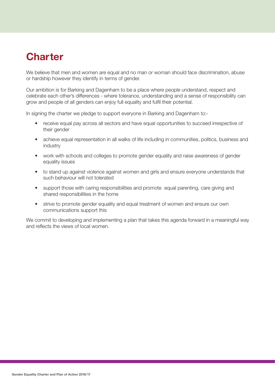### **Charter**

We believe that men and women are equal and no man or woman should face discrimination, abuse or hardship however they identify in terms of gender.

Our ambition is for Barking and Dagenham to be a place where people understand, respect and celebrate each other's differences - where tolerance, understanding and a sense of responsibility can grow and people of all genders can enjoy full equality and fulfil their potential.

In signing the charter we pledge to support everyone in Barking and Dagenham to:-

- receive equal pay across all sectors and have equal opportunities to succeed irrespective of their gender
- achieve equal representation in all walks of life including in communities, politics, business and industry
- work with schools and colleges to promote gender equality and raise awareness of gender equality issues
- to stand up against violence against women and girls and ensure everyone understands that such behaviour will not tolerated
- support those with caring responsibilities and promote equal parenting, care giving and shared responsibilities in the home
- strive to promote gender equality and equal treatment of women and ensure our own communications support this

We commit to developing and implementing a plan that takes this agenda forward in a meaningful way and reflects the views of local women.